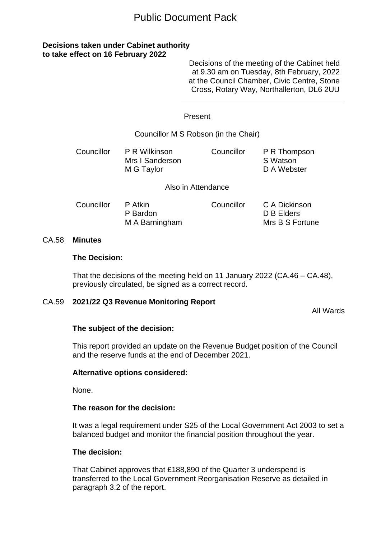# Public Document Pack

# **Decisions taken under Cabinet authority to take effect on 16 February 2022**

Decisions of the meeting of the Cabinet held at 9.30 am on Tuesday, 8th February, 2022 at the Council Chamber, Civic Centre, Stone Cross, Rotary Way, Northallerton, DL6 2UU

#### Present

## Councillor M S Robson (in the Chair)

Councillor P R Wilkinson Mrs I Sanderson M G Taylor Councillor P R Thompson S Watson D A Webster

Also in Attendance

| Councillor | P Atkin        | Councillor | C A Dickinson   |
|------------|----------------|------------|-----------------|
|            | P Bardon       |            | D B Elders      |
|            | M A Barningham |            | Mrs B S Fortune |

#### CA.58 **Minutes**

#### **The Decision:**

That the decisions of the meeting held on 11 January 2022 (CA.46 – CA.48), previously circulated, be signed as a correct record.

## CA.59 **2021/22 Q3 Revenue Monitoring Report**

All Wards

## **The subject of the decision:**

This report provided an update on the Revenue Budget position of the Council and the reserve funds at the end of December 2021.

## **Alternative options considered:**

None.

## **The reason for the decision:**

It was a legal requirement under S25 of the Local Government Act 2003 to set a balanced budget and monitor the financial position throughout the year.

## **The decision:**

That Cabinet approves that £188,890 of the Quarter 3 underspend is transferred to the Local Government Reorganisation Reserve as detailed in paragraph 3.2 of the report.